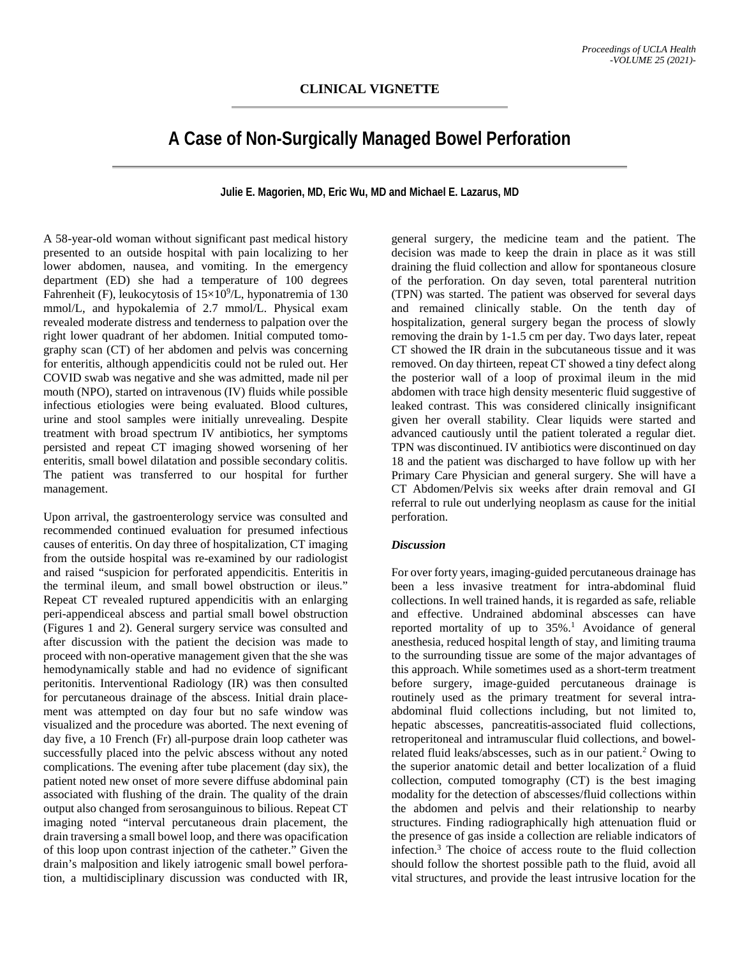## **A Case of Non-Surgically Managed Bowel Perforation**

**Julie E. Magorien, MD, Eric Wu, MD and Michael E. Lazarus, MD**

A 58-year-old woman without significant past medical history presented to an outside hospital with pain localizing to her lower abdomen, nausea, and vomiting. In the emergency department (ED) she had a temperature of 100 degrees Fahrenheit (F), leukocytosis of 15×10<sup>9</sup>/L, hyponatremia of 130 mmol/L, and hypokalemia of 2.7 mmol/L. Physical exam revealed moderate distress and tenderness to palpation over the right lower quadrant of her abdomen. Initial computed tomography scan (CT) of her abdomen and pelvis was concerning for enteritis, although appendicitis could not be ruled out. Her COVID swab was negative and she was admitted, made nil per mouth (NPO), started on intravenous (IV) fluids while possible infectious etiologies were being evaluated. Blood cultures, urine and stool samples were initially unrevealing. Despite treatment with broad spectrum IV antibiotics, her symptoms persisted and repeat CT imaging showed worsening of her enteritis, small bowel dilatation and possible secondary colitis. The patient was transferred to our hospital for further management.

Upon arrival, the gastroenterology service was consulted and recommended continued evaluation for presumed infectious causes of enteritis. On day three of hospitalization, CT imaging from the outside hospital was re-examined by our radiologist and raised "suspicion for perforated appendicitis. Enteritis in the terminal ileum, and small bowel obstruction or ileus." Repeat CT revealed ruptured appendicitis with an enlarging peri-appendiceal abscess and partial small bowel obstruction (Figures 1 and 2). General surgery service was consulted and after discussion with the patient the decision was made to proceed with non-operative management given that the she was hemodynamically stable and had no evidence of significant peritonitis. Interventional Radiology (IR) was then consulted for percutaneous drainage of the abscess. Initial drain placement was attempted on day four but no safe window was visualized and the procedure was aborted. The next evening of day five, a 10 French (Fr) all-purpose drain loop catheter was successfully placed into the pelvic abscess without any noted complications. The evening after tube placement (day six), the patient noted new onset of more severe diffuse abdominal pain associated with flushing of the drain. The quality of the drain output also changed from serosanguinous to bilious. Repeat CT imaging noted "interval percutaneous drain placement, the drain traversing a small bowel loop, and there was opacification of this loop upon contrast injection of the catheter." Given the drain's malposition and likely iatrogenic small bowel perforation, a multidisciplinary discussion was conducted with IR,

general surgery, the medicine team and the patient. The decision was made to keep the drain in place as it was still draining the fluid collection and allow for spontaneous closure of the perforation. On day seven, total parenteral nutrition (TPN) was started. The patient was observed for several days and remained clinically stable. On the tenth day of hospitalization, general surgery began the process of slowly removing the drain by 1-1.5 cm per day. Two days later, repeat CT showed the IR drain in the subcutaneous tissue and it was removed. On day thirteen, repeat CT showed a tiny defect along the posterior wall of a loop of proximal ileum in the mid abdomen with trace high density mesenteric fluid suggestive of leaked contrast. This was considered clinically insignificant given her overall stability. Clear liquids were started and advanced cautiously until the patient tolerated a regular diet. TPN was discontinued. IV antibiotics were discontinued on day 18 and the patient was discharged to have follow up with her Primary Care Physician and general surgery. She will have a CT Abdomen/Pelvis six weeks after drain removal and GI referral to rule out underlying neoplasm as cause for the initial perforation.

## *Discussion*

For over forty years, imaging-guided percutaneous drainage has been a less invasive treatment for intra-abdominal fluid collections. In well trained hands, it is regarded as safe, reliable and effective. Undrained abdominal abscesses can have reported mortality of up to  $35\%$ .<sup>1</sup> Avoidance of general anesthesia, reduced hospital length of stay, and limiting trauma to the surrounding tissue are some of the major advantages of this approach. While sometimes used as a short-term treatment before surgery, image-guided percutaneous drainage is routinely used as the primary treatment for several intraabdominal fluid collections including, but not limited to, hepatic abscesses, pancreatitis-associated fluid collections, retroperitoneal and intramuscular fluid collections, and bowelrelated fluid leaks/abscesses, such as in our patient. <sup>2</sup> Owing to the superior anatomic detail and better localization of a fluid collection, computed tomography (CT) is the best imaging modality for the detection of abscesses/fluid collections within the abdomen and pelvis and their relationship to nearby structures. Finding radiographically high attenuation fluid or the presence of gas inside a collection are reliable indicators of infection. <sup>3</sup> The choice of access route to the fluid collection should follow the shortest possible path to the fluid, avoid all vital structures, and provide the least intrusive location for the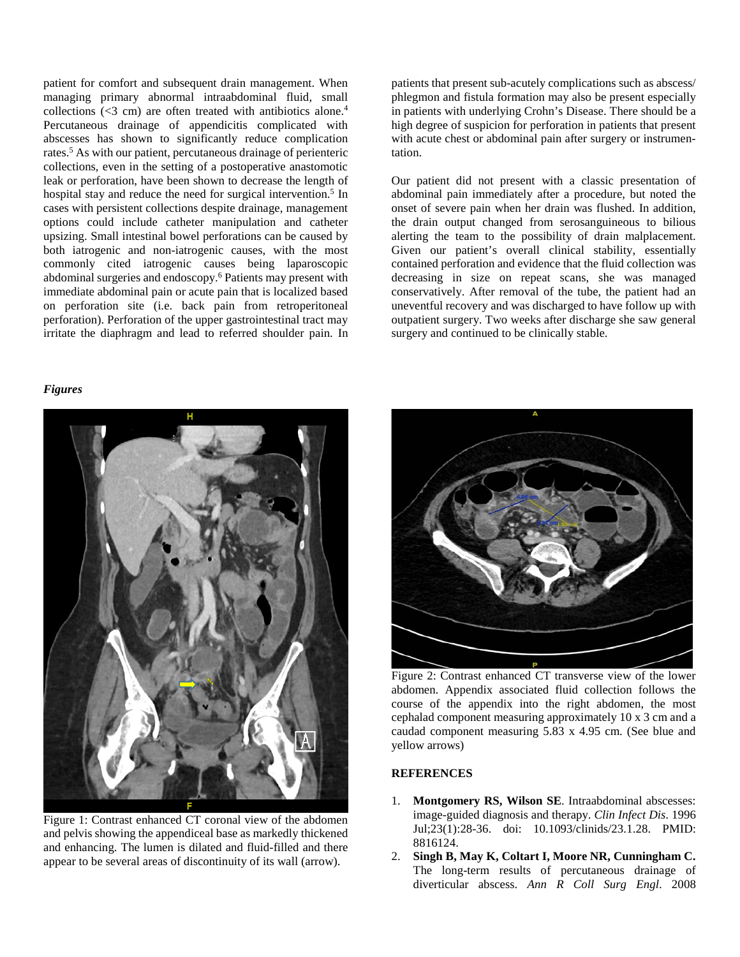patient for comfort and subsequent drain management. When managing primary abnormal intraabdominal fluid, small collections  $\langle \langle 3 \rangle$  cm) are often treated with antibiotics alone.<sup>4</sup> Percutaneous drainage of appendicitis complicated with abscesses has shown to significantly reduce complication rates.5 As with our patient, percutaneous drainage of perienteric collections, even in the setting of a postoperative anastomotic leak or perforation, have been shown to decrease the length of hospital stay and reduce the need for surgical intervention.<sup>5</sup> In cases with persistent collections despite drainage, management options could include catheter manipulation and catheter upsizing. Small intestinal bowel perforations can be caused by both iatrogenic and non-iatrogenic causes, with the most commonly cited iatrogenic causes being laparoscopic abdominal surgeries and endoscopy.6 Patients may present with immediate abdominal pain or acute pain that is localized based on perforation site (i.e. back pain from retroperitoneal perforation). Perforation of the upper gastrointestinal tract may irritate the diaphragm and lead to referred shoulder pain. In

## *Figures*



Figure 1: Contrast enhanced CT coronal view of the abdomen and pelvis showing the appendiceal base as markedly thickened and enhancing. The lumen is dilated and fluid-filled and there appear to be several areas of discontinuity of its wall (arrow).

patients that present sub-acutely complications such as abscess/ phlegmon and fistula formation may also be present especially in patients with underlying Crohn's Disease. There should be a high degree of suspicion for perforation in patients that present with acute chest or abdominal pain after surgery or instrumentation.

Our patient did not present with a classic presentation of abdominal pain immediately after a procedure, but noted the onset of severe pain when her drain was flushed. In addition, the drain output changed from serosanguineous to bilious alerting the team to the possibility of drain malplacement. Given our patient's overall clinical stability, essentially contained perforation and evidence that the fluid collection was decreasing in size on repeat scans, she was managed conservatively. After removal of the tube, the patient had an uneventful recovery and was discharged to have follow up with outpatient surgery. Two weeks after discharge she saw general surgery and continued to be clinically stable.



Figure 2: Contrast enhanced CT transverse view of the lower abdomen. Appendix associated fluid collection follows the course of the appendix into the right abdomen, the most cephalad component measuring approximately 10 x 3 cm and a caudad component measuring 5.83 x 4.95 cm. (See blue and yellow arrows)

## **REFERENCES**

- 1. **Montgomery RS, Wilson SE**. Intraabdominal abscesses: image-guided diagnosis and therapy. *Clin Infect Dis*. 1996 Jul;23(1):28-36. doi: 10.1093/clinids/23.1.28. PMID: 8816124.
- 2. **Singh B, May K, Coltart I, Moore NR, Cunningham C.** The long-term results of percutaneous drainage of diverticular abscess. *Ann R Coll Surg Engl*. 2008